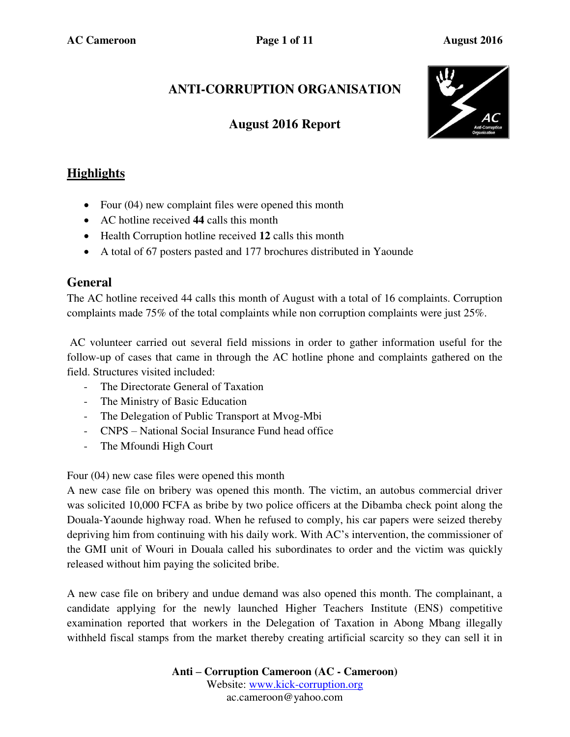# **ANTI-CORRUPTION ORGANISATION**

## **August 2016 Report**



## **Highlights**

- Four (04) new complaint files were opened this month
- AC hotline received **44** calls this month
- Health Corruption hotline received **12** calls this month
- A total of 67 posters pasted and 177 brochures distributed in Yaounde

### **General**

The AC hotline received 44 calls this month of August with a total of 16 complaints. Corruption complaints made 75% of the total complaints while non corruption complaints were just 25%.

 AC volunteer carried out several field missions in order to gather information useful for the follow-up of cases that came in through the AC hotline phone and complaints gathered on the field. Structures visited included:

- The Directorate General of Taxation
- The Ministry of Basic Education
- The Delegation of Public Transport at Mvog-Mbi
- CNPS National Social Insurance Fund head office
- The Mfoundi High Court

Four (04) new case files were opened this month

A new case file on bribery was opened this month. The victim, an autobus commercial driver was solicited 10,000 FCFA as bribe by two police officers at the Dibamba check point along the Douala-Yaounde highway road. When he refused to comply, his car papers were seized thereby depriving him from continuing with his daily work. With AC's intervention, the commissioner of the GMI unit of Wouri in Douala called his subordinates to order and the victim was quickly released without him paying the solicited bribe.

A new case file on bribery and undue demand was also opened this month. The complainant, a candidate applying for the newly launched Higher Teachers Institute (ENS) competitive examination reported that workers in the Delegation of Taxation in Abong Mbang illegally withheld fiscal stamps from the market thereby creating artificial scarcity so they can sell it in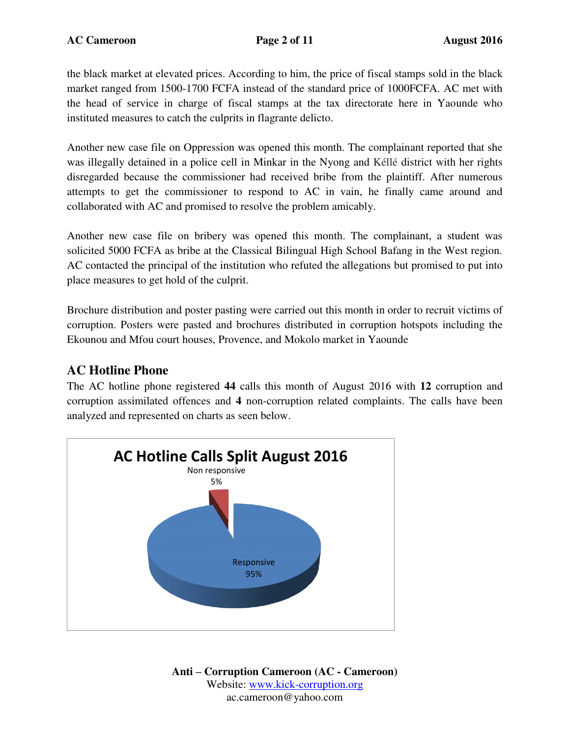the black market at elevated prices. According to him, the price of fiscal stamps sold in the black market ranged from 1500-1700 FCFA instead of the standard price of 1000FCFA. AC met with the head of service in charge of fiscal stamps at the tax directorate here in Yaounde who instituted measures to catch the culprits in flagrante delicto.

Another new case file on Oppression was opened this month. The complainant reported that she was illegally detained in a police cell in Minkar in the Nyong and Kéllé district with her rights disregarded because the commissioner had received bribe from the plaintiff. After numerous attempts to get the commissioner to respond to AC in vain, he finally came around and collaborated with AC and promised to resolve the problem amicably.

Another new case file on bribery was opened this month. The complainant, a student was solicited 5000 FCFA as bribe at the Classical Bilingual High School Bafang in the West region. AC contacted the principal of the institution who refuted the allegations but promised to put into place measures to get hold of the culprit.

Brochure distribution and poster pasting were carried out this month in order to recruit victims of corruption. Posters were pasted and brochures distributed in corruption hotspots including the Ekounou and Mfou court houses, Provence, and Mokolo market in Yaounde

### **AC Hotline Phone**

The AC hotline phone registered **44** calls this month of August 2016 with **12** corruption and corruption assimilated offences and **4** non-corruption related complaints. The calls have been analyzed and represented on charts as seen below.

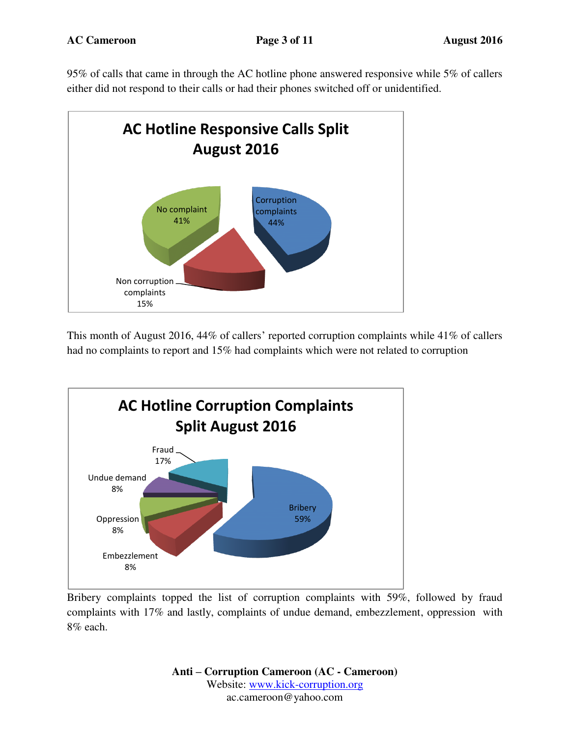95% of calls that came in through the AC hotline phone answered responsive while 5% of callers either did not respond to their calls or had their phones switched off or unidentified.



This month of August 2016, 44% of callers' reported corruption complaints while 41% of callers had no complaints to report and 15% had complaints which were not related to corruption



Bribery complaints topped the list of corruption complaints with 59%, followed by fraud complaints with 17% and lastly, complaints of undue demand, embezzlement, oppression with 8% each.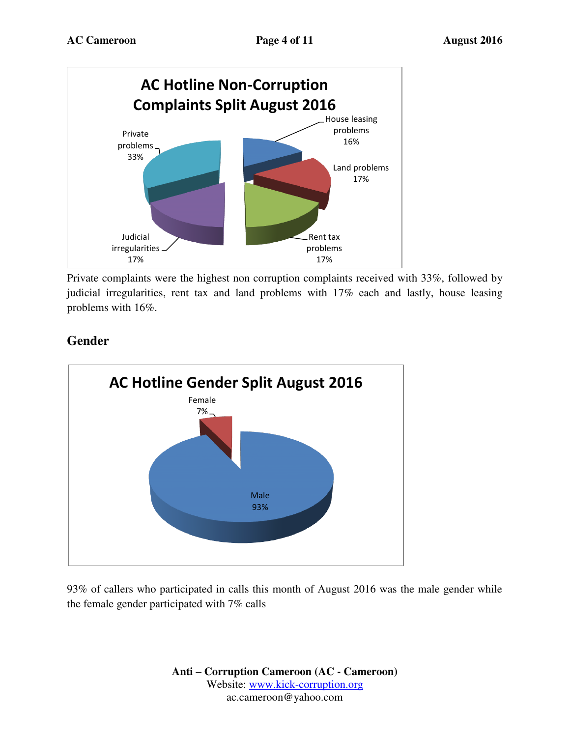

Private complaints were the highest non corruption complaints received with 33%, followed by judicial irregularities, rent tax and land problems with 17% each and lastly, house leasing problems with 16%.



## **Gender**

93% of callers who participated in calls this month of August 2016 was the male gender while the female gender participated with 7% calls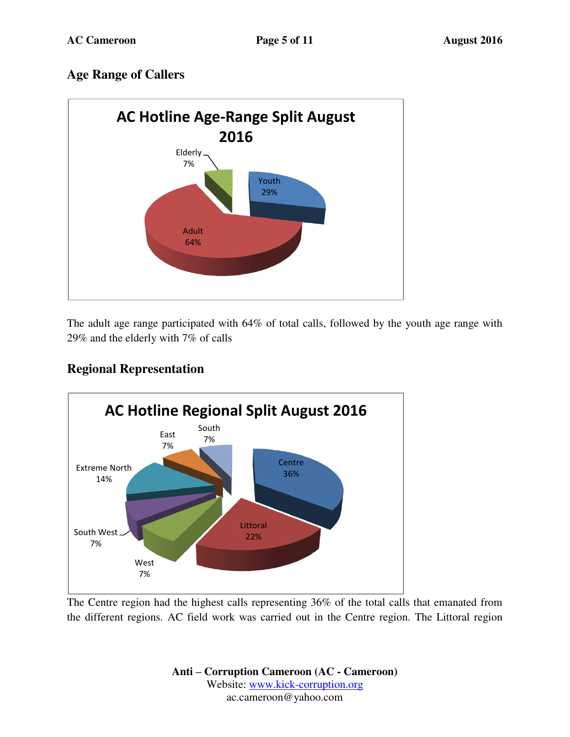## **Age Range of Callers**



The adult age range participated with 64% of total calls, followed by the youth age range with 29% and the elderly with 7% of calls



## **Regional Representation**

The Centre region had the highest calls representing 36% of the total calls that emanated from the different regions. AC field work was carried out in the Centre region. The Littoral region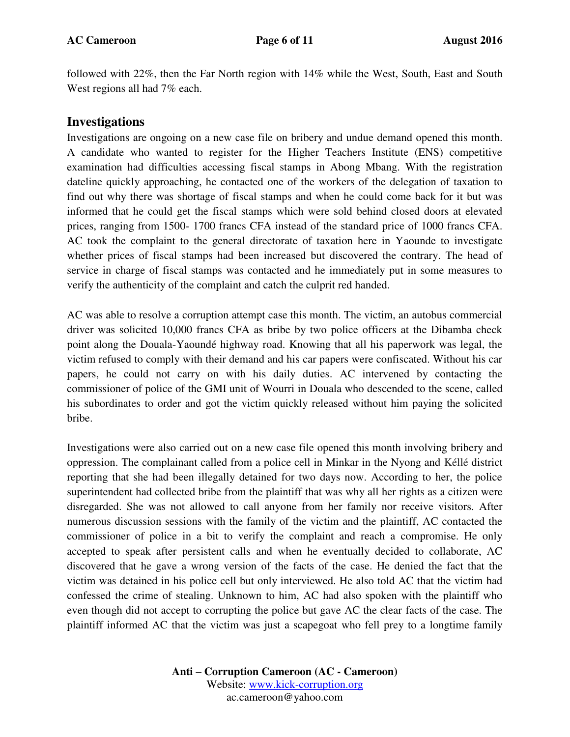followed with 22%, then the Far North region with 14% while the West, South, East and South West regions all had 7% each.

#### **Investigations**

Investigations are ongoing on a new case file on bribery and undue demand opened this month. A candidate who wanted to register for the Higher Teachers Institute (ENS) competitive examination had difficulties accessing fiscal stamps in Abong Mbang. With the registration dateline quickly approaching, he contacted one of the workers of the delegation of taxation to find out why there was shortage of fiscal stamps and when he could come back for it but was informed that he could get the fiscal stamps which were sold behind closed doors at elevated prices, ranging from 1500- 1700 francs CFA instead of the standard price of 1000 francs CFA. AC took the complaint to the general directorate of taxation here in Yaounde to investigate whether prices of fiscal stamps had been increased but discovered the contrary. The head of service in charge of fiscal stamps was contacted and he immediately put in some measures to verify the authenticity of the complaint and catch the culprit red handed.

AC was able to resolve a corruption attempt case this month. The victim, an autobus commercial driver was solicited 10,000 francs CFA as bribe by two police officers at the Dibamba check point along the Douala-Yaoundé highway road. Knowing that all his paperwork was legal, the victim refused to comply with their demand and his car papers were confiscated. Without his car papers, he could not carry on with his daily duties. AC intervened by contacting the commissioner of police of the GMI unit of Wourri in Douala who descended to the scene, called his subordinates to order and got the victim quickly released without him paying the solicited bribe.

Investigations were also carried out on a new case file opened this month involving bribery and oppression. The complainant called from a police cell in Minkar in the Nyong and Kéllé district reporting that she had been illegally detained for two days now. According to her, the police superintendent had collected bribe from the plaintiff that was why all her rights as a citizen were disregarded. She was not allowed to call anyone from her family nor receive visitors. After numerous discussion sessions with the family of the victim and the plaintiff, AC contacted the commissioner of police in a bit to verify the complaint and reach a compromise. He only accepted to speak after persistent calls and when he eventually decided to collaborate, AC discovered that he gave a wrong version of the facts of the case. He denied the fact that the victim was detained in his police cell but only interviewed. He also told AC that the victim had confessed the crime of stealing. Unknown to him, AC had also spoken with the plaintiff who even though did not accept to corrupting the police but gave AC the clear facts of the case. The plaintiff informed AC that the victim was just a scapegoat who fell prey to a longtime family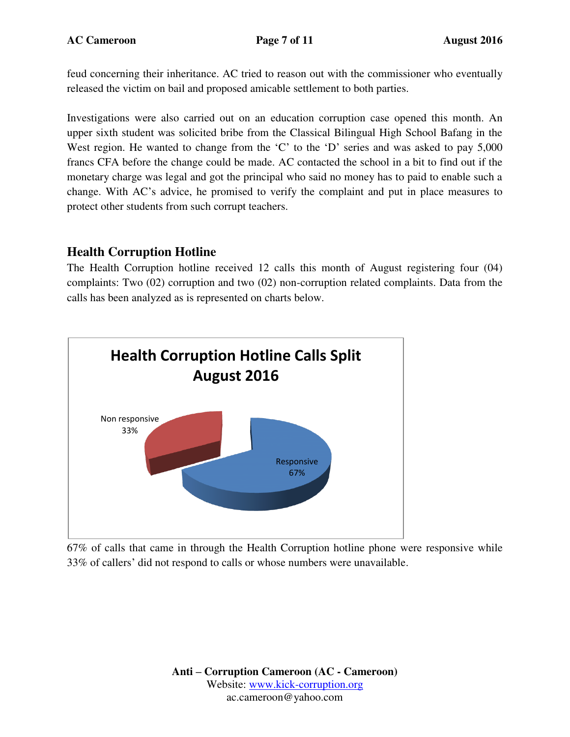feud concerning their inheritance. AC tried to reason out with the commissioner who eventually released the victim on bail and proposed amicable settlement to both parties.

Investigations were also carried out on an education corruption case opened this month. An upper sixth student was solicited bribe from the Classical Bilingual High School Bafang in the West region. He wanted to change from the 'C' to the 'D' series and was asked to pay 5,000 francs CFA before the change could be made. AC contacted the school in a bit to find out if the monetary charge was legal and got the principal who said no money has to paid to enable such a change. With AC's advice, he promised to verify the complaint and put in place measures to protect other students from such corrupt teachers.

### **Health Corruption Hotline**

The Health Corruption hotline received 12 calls this month of August registering four (04) complaints: Two (02) corruption and two (02) non-corruption related complaints. Data from the calls has been analyzed as is represented on charts below.



67% of calls that came in through the Health Corruption hotline phone were responsive while 33% of callers' did not respond to calls or whose numbers were unavailable.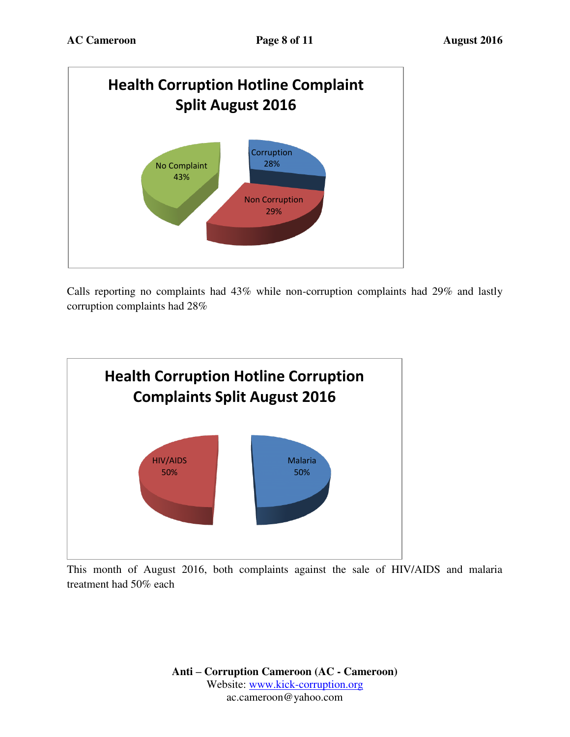

Calls reporting no complaints had 43% while non-corruption complaints had 29% and lastly corruption complaints had 28%



This month of August 2016, both complaints against the sale of HIV/AIDS and malaria treatment had 50% each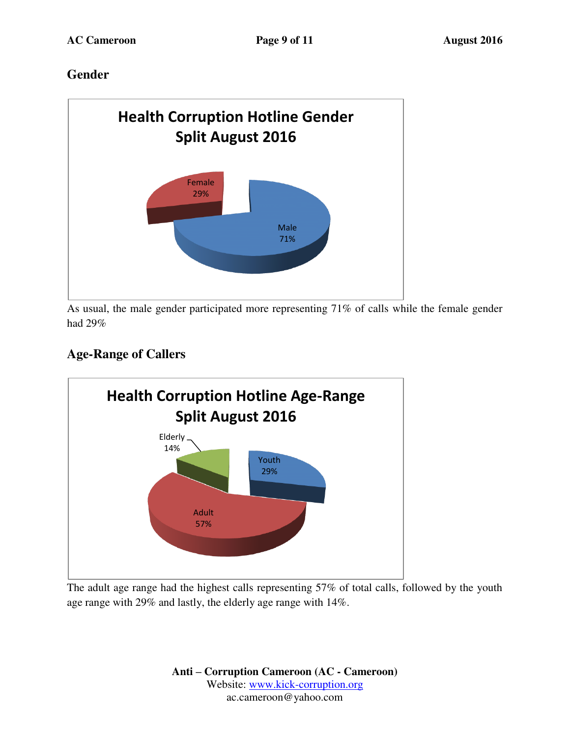## **Gender**



As usual, the male gender participated more representing 71% of calls while the female gender had 29%

# **Age-Range of Callers**

![](_page_8_Figure_7.jpeg)

The adult age range had the highest calls representing 57% of total calls, followed by the youth age range with 29% and lastly, the elderly age range with 14%.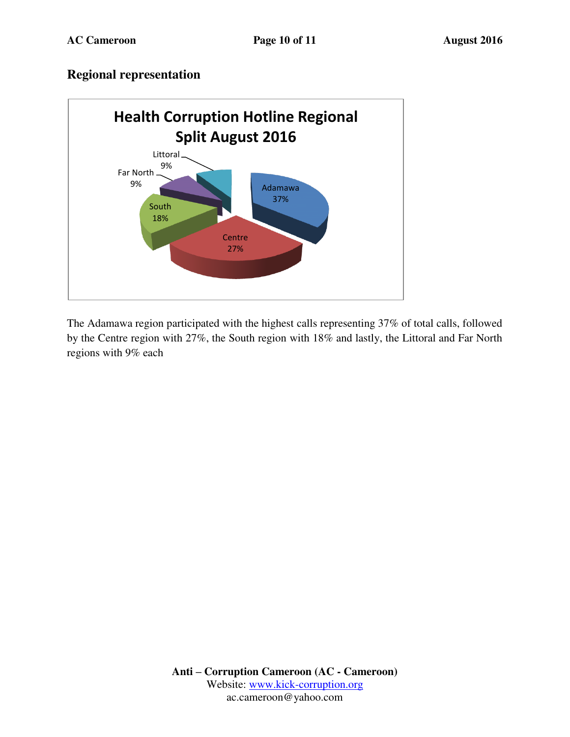### **Regional representation**

![](_page_9_Figure_4.jpeg)

The Adamawa region participated with the highest calls representing 37% of total calls, followed by the Centre region with 27%, the South region with 18% and lastly, the Littoral and Far North regions with 9% each